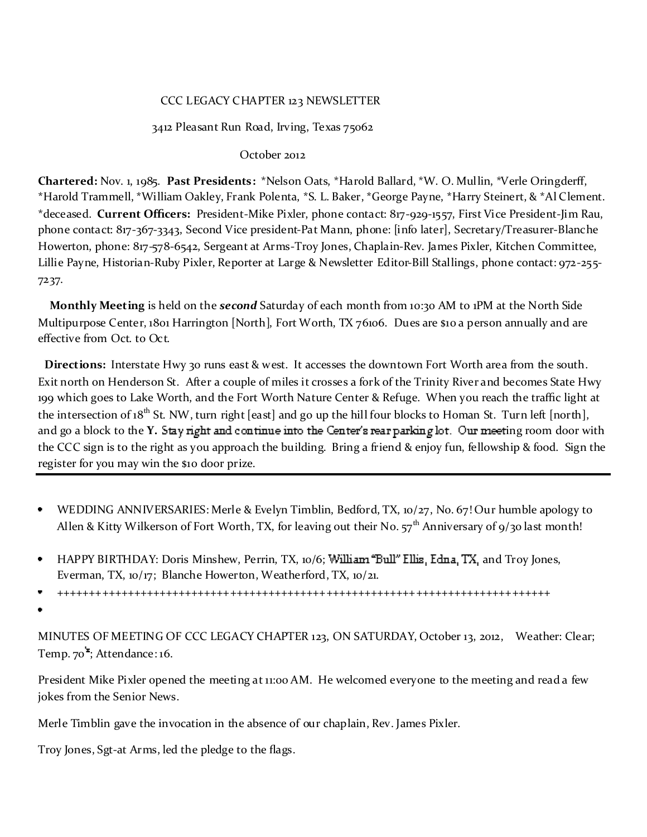### CCC LEGACY CHAPTER 123 NEWSLETTER

#### 3412 Pleasant Run Road, Irving, Texas 75062

#### October 2012

**Chartered:** Nov. 1, 1985. **Past Presidents:** \*Nelson Oats, \*Harold Ballard, \*W. O. Mullin, \*Verle Oringderff, \*Harold Trammell, \*William Oakley, Frank Polenta, \*S. L. Baker, \*George Payne, \*Harry Steinert, & \*Al Clement. \*deceased. **Current Officers:** President-Mike Pixler, phone contact: 817-929-1557, First Vice President-Jim Rau, phone contact: 817-367-3343, Second Vice president-Pat Mann, phone: [info later], Secretary/Treasurer-Blanche Howerton, phone: 817-578-6542, Sergeant at Arms-Troy Jones, Chaplain-Rev. James Pixler, Kitchen Committee, Lillie Payne, Historian-Ruby Pixler, Reporter at Large & Newsletter Editor-Bill Stallings, phone contact: 972-255- 7237.

**Monthly Meeting** is held on the *second* Saturday of each month from 10:30 AM to 1PM at the North Side Multipurpose Center, 1801 Harrington [North], Fort Worth, TX 76106. Dues are \$10 a person annually and are effective from Oct. to Oct.

**Directions:** Interstate Hwy 30 runs east & west. It accesses the downtown Fort Worth area from the south. Exit north on Henderson St. After a couple of miles it crosses a fork of the Trinity River and becomes State Hwy 199 which goes to Lake Worth, and the Fort Worth Nature Center & Refuge. When you reach the traffic light at the intersection of 18<sup>th</sup> St. NW, turn right [east] and go up the hill four blocks to Homan St. Turn left [north], and go a block to the **Y**. Stay right and continue into the Center's rear parking lot. Our meeting room door with the CCC sign is to the right as you approach the building. Bring a friend & enjoy fun, fellowship & food. Sign the register for you may win the \$10 door prize.

- WEDDING ANNIVERSARIES: Merle & Evelyn Timblin, Bedford, TX, 10/27, No. 67! Our humble apology to  $\bullet$ Allen & Kitty Wilkerson of Fort Worth, TX, for leaving out their No.  $57<sup>th</sup>$  Anniversary of 9/30 last month!
- HAPPY BIRTHDAY: Doris Minshew, Perrin, TX, 10/6; William "Bull" Ellis, Edna, TX, and Troy Jones, Everman, TX, 10/17; Blanche Howerton, Weatherford, TX, 10/21.
- +++++++++++++++++++++++++++++++++++++++++++++++++++++++++++++++++++++++++++++
- 

MINUTES OF MEETING OF CCC LEGACY CHAPTER 123, ON SATURDAY, October 13, 2012, Weather: Clear; Temp. 70 ; Attendance: 16.

President Mike Pixler opened the meeting at 11:00 AM. He welcomed everyone to the meeting and read a few jokes from the Senior News.

Merle Timblin gave the invocation in the absence of our chaplain, Rev. James Pixler.

Troy Jones, Sgt-at Arms, led the pledge to the flags.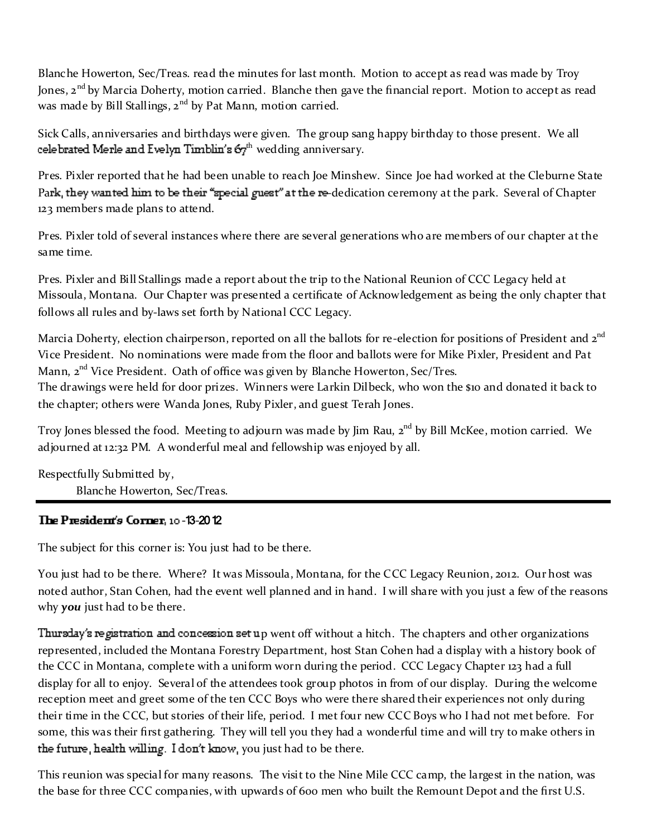Blanche Howerton, Sec/Treas. read the minutes for last month. Motion to accept as read was made by Troy Jones, 2<sup>nd</sup> by Marcia Doherty, motion carried. Blanche then gave the financial report. Motion to accept as read was made by Bill Stallings, 2<sup>nd</sup> by Pat Mann, motion carried.

Sick Calls, anniversaries and birthdays were given. The group sang happy birthday to those present. We all celebrated Merle and Evelyn Timblin's  $67<sup>th</sup>$  wedding anniversary.

Pres. Pixler reported that he had been unable to reach Joe Minshew. Since Joe had worked at the Cleburne State Park, they wanted him to be their "special guest" at the re-dedication ceremony at the park. Several of Chapter 123 members made plans to attend.

Pres. Pixler told of several instances where there are several generations who are members of our chapter at the same time.

Pres. Pixler and Bill Stallings made a report about the trip to the National Reunion of CCC Legacy held at Missoula, Montana. Our Chapter was presented a certificate of Acknowledgement as being the only chapter that follows all rules and by-laws set forth by National CCC Legacy.

Marcia Doherty, election chairperson, reported on all the ballots for re-election for positions of President and 2<sup>nd</sup> Vice President. No nominations were made from the floor and ballots were for Mike Pixler, President and Pat Mann,  $2<sup>nd</sup>$  Vice President. Oath of office was given by Blanche Howerton, Sec/Tres. The drawings were held for door prizes. Winners were Larkin Dilbeck, who won the \$10 and donated it back to the chapter; others were Wanda Jones, Ruby Pixler, and guest Terah Jones.

Troy Jones blessed the food. Meeting to adjourn was made by Jim Rau, 2<sup>nd</sup> by Bill McKee, motion carried. We adjourned at 12:32 PM. A wonderful meal and fellowship was enjoyed by all.

Respectfully Submitted by, Blanche Howerton, Sec/Treas.

# **-**13**-**2012

The subject for this corner is: You just had to be there.

You just had to be there. Where? It was Missoula, Montana, for the CCC Legacy Reunion, 2012. Our host was noted author, Stan Cohen, had the event well planned and in hand. I will share with you just a few of the reasons why *you* just had to be there.

Thursday's registration and concession set up went off without a hitch. The chapters and other organizations represented, included the Montana Forestry Department, host Stan Cohen had a display with a history book of the CCC in Montana, complete with a uniform worn during the period. CCC Legacy Chapter 123 had a full display for all to enjoy. Several of the attendees took group photos in from of our display. During the welcome reception meet and greet some of the ten CCC Boys who were there shared their experiences not only during their time in the CCC, but stories of their life, period. I met four new CCC Boys who I had not met before. For some, this was their first gathering. They will tell you they had a wonderful time and will try to make others in the future, health willing. I don't know, you just had to be there.

This reunion was special for many reasons. The visit to the Nine Mile CCC camp, the largest in the nation, was the base for three CCC companies, with upwards of 600 men who built the Remount Depot and the first U.S.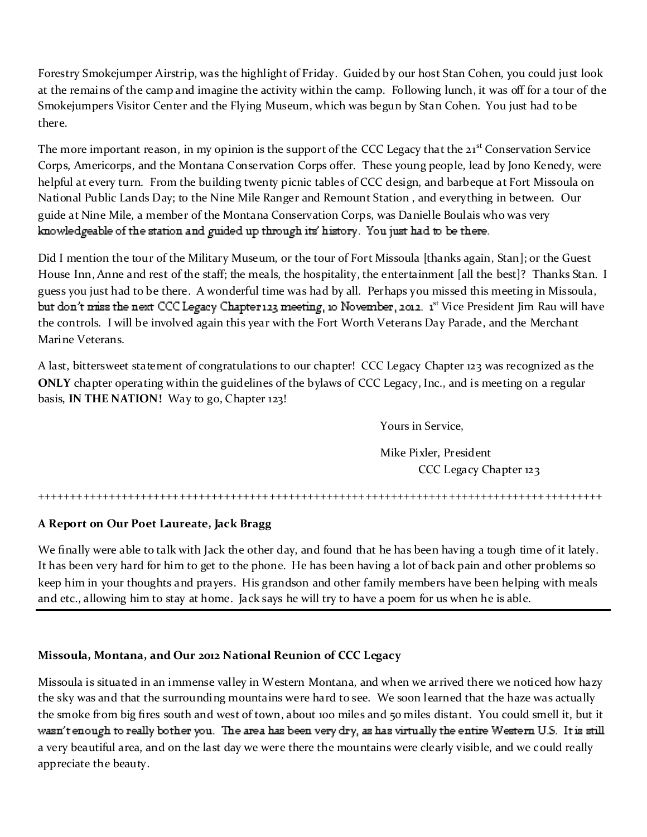Forestry Smokejumper Airstrip, was the highlight of Friday. Guided by our host Stan Cohen, you could just look at the remains of the camp and imagine the activity within the camp. Following lunch, it was off for a tour of the Smokejumpers Visitor Center and the Flying Museum, which was begun by Stan Cohen. You just had to be there.

The more important reason, in my opinion is the support of the CCC Legacy that the  $21<sup>st</sup>$  Conservation Service Corps, Americorps, and the Montana Conservation Corps offer. These young people, lead by Jono Kenedy, were helpful at every turn. From the building twenty picnic tables of CCC design, and barbeque at Fort Missoula on National Public Lands Day; to the Nine Mile Ranger and Remount Station , and everything in between. Our guide at Nine Mile, a member of the Montana Conservation Corps, was Danielle Boulais who was very knowledgeable of the station and guided up through its' history. You just had to be there.

Did I mention the tour of the Military Museum, or the tour of Fort Missoula [thanks again, Stan]; or the Guest House Inn, Anne and rest of the staff; the meals, the hospitality, the entertainment [all the best]? Thanks Stan. I guess you just had to be there. A wonderful time was had by all. Perhaps you missed this meeting in Missoula, but don't miss the next CCC Legacy Chapter123 meeting, 10 November, 2012. 1<sup>st</sup> Vice President Jim Rau will have the controls. I will be involved again this year with the Fort Worth Veterans Day Parade, and the Merchant Marine Veterans.

A last, bittersweet statement of congratulations to our chapter! CCC Legacy Chapter 123 was recognized as the **ONLY** chapter operating within the guidelines of the bylaws of CCC Legacy, Inc., and is meeting on a regular basis, **IN THE NATION!** Way to go, Chapter 123!

Yours in Service,

Mike Pixler, President CCC Legacy Chapter 123

++++++++++++++++++++++++++++++++++++++++++++++++++++++++++++++++++++++++++++++++++++++++

# **A Report on Our Poet Laureate, Jack Bragg**

We finally were able to talk with Jack the other day, and found that he has been having a tough time of it lately. It has been very hard for him to get to the phone. He has been having a lot of back pain and other problems so keep him in your thoughts and prayers. His grandson and other family members have been helping with meals and etc., allowing him to stay at home. Jack says he will try to have a poem for us when he is able.

## **Missoula, Montana, and Our 2012 National Reunion of CCC Legacy**

Missoula is situated in an immense valley in Western Montana, and when we arrived there we noticed how hazy the sky was and that the surrounding mountains were hard to see. We soon learned that the haze was actually the smoke from big fires south and west of town, about 100 miles and 50 miles distant. You could smell it, but it wasn't enough to really bother you. The area has been very dry, as has virtually the entire Western U.S. It is still a very beautiful area, and on the last day we were there the mountains were clearly visible, and we could really appreciate the beauty.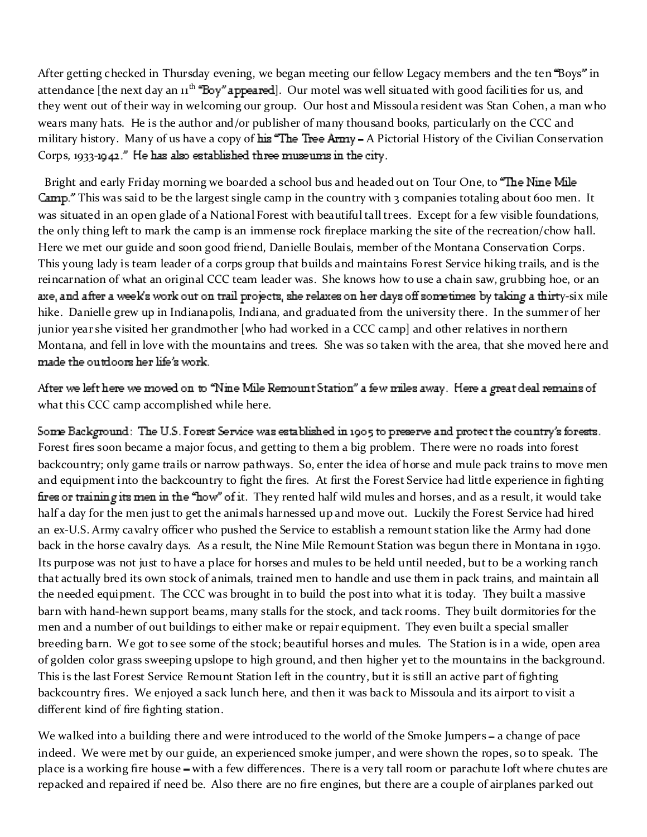After getting checked in Thursday evening, we began meeting our fellow Legacy members and the ten "Boys" in attendance [the next day an 11<sup>th</sup> "Eoy" appeared]. Our motel was well situated with good facilities for us, and they went out of their way in welcoming our group. Our host and Missoula resident was Stan Cohen, a man who wears many hats. He is the author and/or publisher of many thousand books, particularly on the CCC and military history. Many of us have a copy of his "The Tree Army - A Pictorial History of the Civilian Conservation Corps, 1933-1942." He has also established three museums in the city.

Bright and early Friday morning we boarded a school bus and headed out on Tour One, to "The Nine Mile" Camp." This was said to be the largest single camp in the country with 3 companies totaling about 600 men. It was situated in an open glade of a National Forest with beautiful tall trees. Except for a few visible foundations, the only thing left to mark the camp is an immense rock fireplace marking the site of the recreation/chow hall. Here we met our guide and soon good friend, Danielle Boulais, member of the Montana Conservation Corps. This young lady is team leader of a corps group that builds and maintains Forest Service hiking trails, and is the reincarnation of what an original CCC team leader was. She knows how to use a chain saw, grubbing hoe, or an axe, and after a week's work out on trail projects, she relaxes on her days off sometimes by taking a thirty-six mile hike. Danielle grew up in Indianapolis, Indiana, and graduated from the university there. In the summer of her junior year she visited her grandmother [who had worked in a CCC camp] and other relatives in northern Montana, and fell in love with the mountains and trees. She was so taken with the area, that she moved here and made the outdoors her life's work.

After we left here we moved on to "Nine Mile Remount Station" a few miles away. Here a great deal remains of what this CCC camp accomplished while here.

Some Background: The U.S. Forest Service was established in 1905 to preserve and protect the country's forests. Forest fires soon became a major focus, and getting to them a big problem. There were no roads into forest backcountry; only game trails or narrow pathways. So, enter the idea of horse and mule pack trains to move men and equipment into the backcountry to fight the fires. At first the Forest Service had little experience in fighting fires or training its men in the "how" of it. They rented half wild mules and horses, and as a result, it would take half a day for the men just to get the animals harnessed up and move out. Luckily the Forest Service had hired an ex-U.S. Army cavalry officer who pushed the Service to establish a remount station like the Army had done back in the horse cavalry days. As a result, the Nine Mile Remount Station was begun there in Montana in 1930. Its purpose was not just to have a place for horses and mules to be held until needed, but to be a working ranch that actually bred its own stock of animals, trained men to handle and use them in pack trains, and maintain all the needed equipment. The CCC was brought in to build the post into what it is today. They built a massive barn with hand-hewn support beams, many stalls for the stock, and tack rooms. They built dormitories for the men and a number of out buildings to either make or repair equipment. They even built a special smaller breeding barn. We got to see some of the stock; beautiful horses and mules. The Station is in a wide, open area of golden color grass sweeping upslope to high ground, and then higher yet to the mountains in the background. This is the last Forest Service Remount Station left in the country, but it is still an active part of fighting backcountry fires. We enjoyed a sack lunch here, and then it was back to Missoula and its airport to visit a different kind of fire fighting station.

We walked into a building there and were introduced to the world of the Smoke Jumpers – a change of pace indeed. We were met by our guide, an experienced smoke jumper, and were shown the ropes, so to speak. The place is a working fire house – with a few differences. There is a very tall room or parachute loft where chutes are repacked and repaired if need be. Also there are no fire engines, but there are a couple of airplanes parked out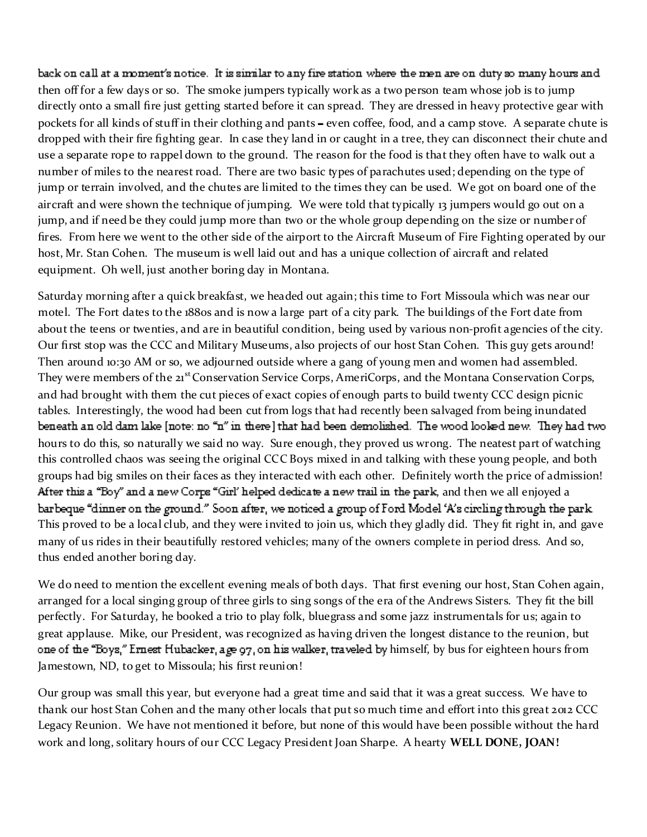back on call at a moment's notice. It is similar to any fire station where the men are on duty so many hours and then off for a few days or so. The smoke jumpers typically work as a two person team whose job is to jump directly onto a small fire just getting started before it can spread. They are dressed in heavy protective gear with pockets for all kinds of stuff in their clothing and pants – even coffee, food, and a camp stove. A separate chute is dropped with their fire fighting gear. In case they land in or caught in a tree, they can disconnect their chute and use a separate rope to rappel down to the ground. The reason for the food is that they often have to walk out a number of miles to the nearest road. There are two basic types of parachutes used; depending on the type of jump or terrain involved, and the chutes are limited to the times they can be used. We got on board one of the aircraft and were shown the technique of jumping. We were told that typically 13 jumpers would go out on a jump, and if need be they could jump more than two or the whole group depending on the size or number of fires. From here we went to the other side of the airport to the Aircraft Museum of Fire Fighting operated by our host, Mr. Stan Cohen. The museum is well laid out and has a unique collection of aircraft and related equipment. Oh well, just another boring day in Montana.

Saturday morning after a quick breakfast, we headed out again; this time to Fort Missoula which was near our motel. The Fort dates to the 1880s and is now a large part of a city park. The buildings of the Fort date from about the teens or twenties, and are in beautiful condition, being used by various non-profit agencies of the city. Our first stop was the CCC and Military Museums, also projects of our host Stan Cohen. This guy gets around! Then around 10:30 AM or so, we adjourned outside where a gang of young men and women had assembled. They were members of the 21<sup>st</sup> Conservation Service Corps, AmeriCorps, and the Montana Conservation Corps, and had brought with them the cut pieces of exact copies of enough parts to build twenty CCC design picnic tables. Interestingly, the wood had been cut from logs that had recently been salvaged from being inundated beneath an old dam lake [note: no "n" in there] that had been demolished. The wood looked new. They had two hours to do this, so naturally we said no way. Sure enough, they proved us wrong. The neatest part of watching this controlled chaos was seeing the original CCC Boys mixed in and talking with these young people, and both groups had big smiles on their faces as they interacted with each other. Definitely worth the price of admission! After this a "Boy" and a new Corps "Girl' helped dedicate a new trail in the park, and then we all enjoyed a barbeque "dinner on the ground." Soon after, we noticed a group of Ford Model 'A's circling through the park. This proved to be a local club, and they were invited to join us, which they gladly did. They fit right in, and gave many of us rides in their beautifully restored vehicles; many of the owners complete in period dress. And so, thus ended another boring day.

We do need to mention the excellent evening meals of both days. That first evening our host, Stan Cohen again, arranged for a local singing group of three girls to sing songs of the era of the Andrews Sisters. They fit the bill perfectly. For Saturday, he booked a trio to play folk, bluegrass and some jazz instrumentals for us; again to great applause. Mike, our President, was recognized as having driven the longest distance to the reunion, but one of the "Boys," Ernest Hubacker, age 97, on his walker, traveled by himself, by bus for eighteen hours from Jamestown, ND, to get to Missoula; his first reunion!

Our group was small this year, but everyone had a great time and said that it was a great success. We have to thank our host Stan Cohen and the many other locals that put so much time and effort into this great 2012 CCC Legacy Reunion. We have not mentioned it before, but none of this would have been possible without the hard work and long, solitary hours of our CCC Legacy President Joan Sharpe. A hearty **WELL DONE, JOAN!**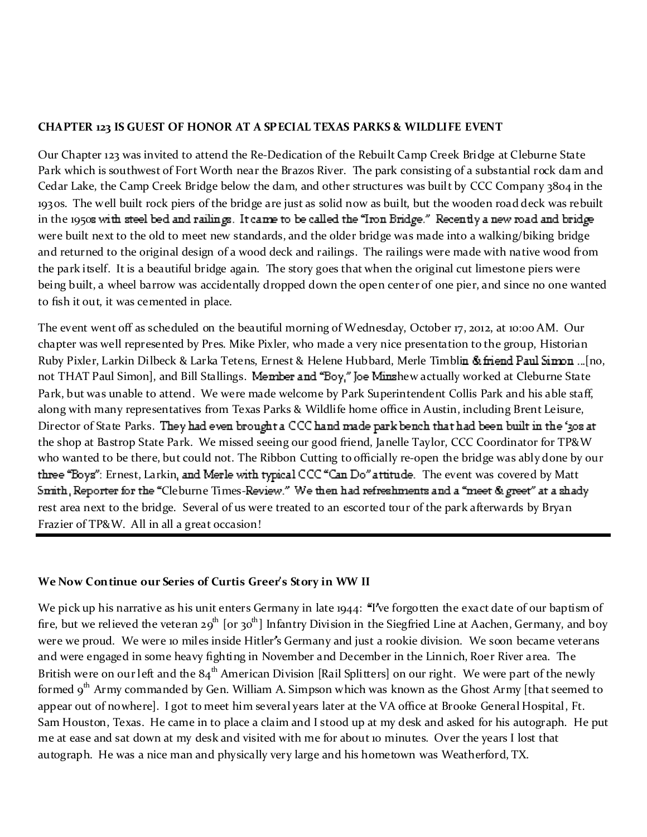### **CHAPTER 123 IS GUEST OF HONOR AT A SPECIAL TEXAS PARKS & WILDLIFE EVENT**

Our Chapter 123 was invited to attend the Re-Dedication of the Rebuilt Camp Creek Bridge at Cleburne State Park which is southwest of Fort Worth near the Brazos River. The park consisting of a substantial rock dam and Cedar Lake, the Camp Creek Bridge below the dam, and other structures was built by CCC Company 3804 in the 1930s. The well built rock piers of the bridge are just as solid now as built, but the wooden road deck was rebuilt in the 1950s with steel bed and railings. It came to be called the "Iron Bridge." Recently a new road and bridge were built next to the old to meet new standards, and the older bridge was made into a walking/biking bridge and returned to the original design of a wood deck and railings. The railings were made with native wood from the park itself. It is a beautiful bridge again. The story goes that when the original cut limestone piers were being built, a wheel barrow was accidentally dropped down the open center of one pier, and since no one wanted to fish it out, it was cemented in place.

The event went off as scheduled on the beautiful morning of Wednesday, October 17, 2012, at 10:00 AM. Our chapter was well represented by Pres. Mike Pixler, who made a very nice presentation to the group, Historian Ruby Pixler, Larkin Dilbeck & Larka Tetens, Ernest & Helene Hubbard, Merle Timblin & friend Paul Sinnon ... [no, not THAT Paul Simon], and Bill Stallings. Member and "Boy," Joe Minshew actually worked at Cleburne State Park, but was unable to attend. We were made welcome by Park Superintendent Collis Park and his able staff, along with many representatives from Texas Parks & Wildlife home office in Austin, including Brent Leisure, Director of State Parks. They had even brought a CCC hand made park bench that had been built in the '308 at the shop at Bastrop State Park. We missed seeing our good friend, Janelle Taylor, CCC Coordinator for TP&W who wanted to be there, but could not. The Ribbon Cutting to officially re-open the bridge was ably done by our three "Boys": Ernest, Larkin, and Merle with typical CCC "Can Do" attitude. The event was covered by Matt Smith, Reporter for the "Cleburne Times-Review." We then had refreshments and a "meet & greet" at a shady rest area next to the bridge. Several of us were treated to an escorted tour of the park afterwards by Bryan Frazier of TP&W. All in all a great occasion!

## **We Now Continue our Series of Curtis Greer s Story in WW II**

We pick up his narrative as his unit enters Germany in late 1944: "I ve forgotten the exact date of our baptism of fire, but we relieved the veteran 29<sup>th</sup> [or 30<sup>th</sup>] Infantry Division in the Siegfried Line at Aachen, Germany, and boy were we proud. We were 10 miles inside Hitler's Germany and just a rookie division. We soon became veterans and were engaged in some heavy fighting in November and December in the Linnich, Roer River area. The British were on our left and the  $84<sup>th</sup>$  American Division [Rail Splitters] on our right. We were part of the newly formed  $9<sup>th</sup>$  Army commanded by Gen. William A. Simpson which was known as the Ghost Army [that seemed to appear out of nowhere]. I got to meet him several years later at the VA office at Brooke General Hospital, Ft. Sam Houston, Texas. He came in to place a claim and I stood up at my desk and asked for his autograph. He put me at ease and sat down at my desk and visited with me for about 10 minutes. Over the years I lost that autograph. He was a nice man and physically very large and his hometown was Weatherford, TX.